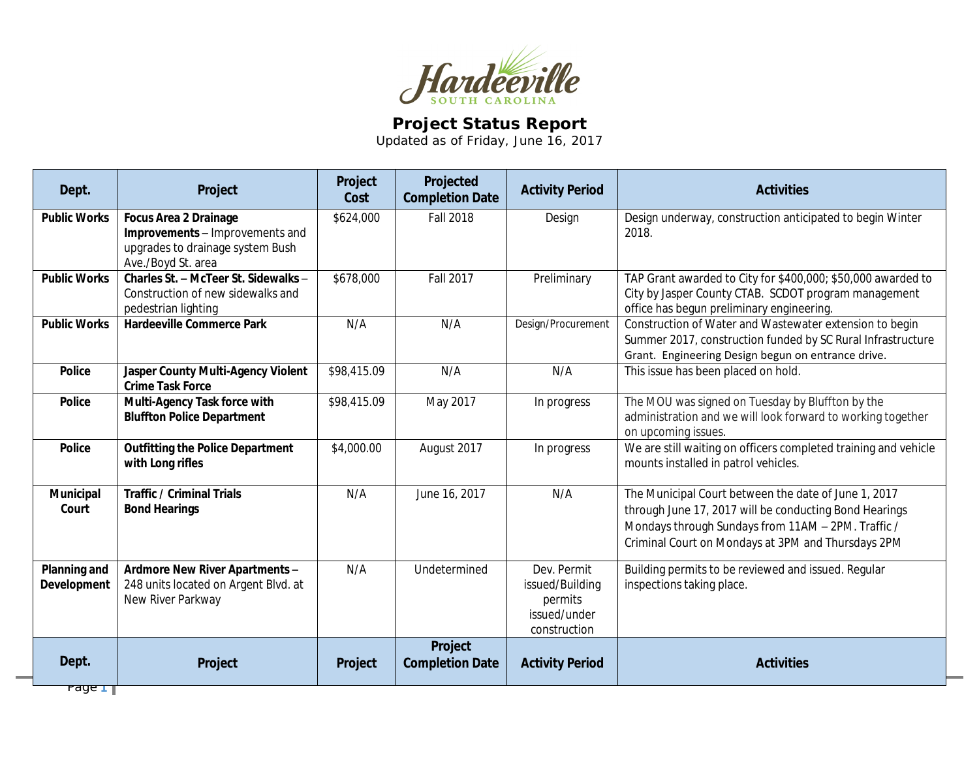

## **Project Status Report**

Updated as of Friday, June 16, 2017

| Dept.                       | Project                                                                                                                   | Project<br>Cost | Projected<br><b>Completion Date</b> | <b>Activity Period</b>                                                    | <b>Activities</b>                                                                                                                                                                                                          |
|-----------------------------|---------------------------------------------------------------------------------------------------------------------------|-----------------|-------------------------------------|---------------------------------------------------------------------------|----------------------------------------------------------------------------------------------------------------------------------------------------------------------------------------------------------------------------|
| <b>Public Works</b>         | <b>Focus Area 2 Drainage</b><br>Improvements - Improvements and<br>upgrades to drainage system Bush<br>Ave./Boyd St. area | \$624,000       | <b>Fall 2018</b>                    | Design                                                                    | Design underway, construction anticipated to begin Winter<br>2018.                                                                                                                                                         |
| <b>Public Works</b>         | Charles St. - McTeer St. Sidewalks -<br>Construction of new sidewalks and<br>pedestrian lighting                          | \$678,000       | <b>Fall 2017</b>                    | Preliminary                                                               | TAP Grant awarded to City for \$400,000; \$50,000 awarded to<br>City by Jasper County CTAB. SCDOT program management<br>office has begun preliminary engineering.                                                          |
| <b>Public Works</b>         | <b>Hardeeville Commerce Park</b>                                                                                          | N/A             | N/A                                 | Design/Procurement                                                        | Construction of Water and Wastewater extension to begin<br>Summer 2017, construction funded by SC Rural Infrastructure<br>Grant. Engineering Design begun on entrance drive.                                               |
| <b>Police</b>               | Jasper County Multi-Agency Violent<br><b>Crime Task Force</b>                                                             | \$98,415.09     | N/A                                 | N/A                                                                       | This issue has been placed on hold.                                                                                                                                                                                        |
| <b>Police</b>               | Multi-Agency Task force with<br><b>Bluffton Police Department</b>                                                         | \$98,415.09     | May 2017                            | In progress                                                               | The MOU was signed on Tuesday by Bluffton by the<br>administration and we will look forward to working together<br>on upcoming issues.                                                                                     |
| <b>Police</b>               | <b>Outfitting the Police Department</b><br>with Long rifles                                                               | \$4,000.00      | August 2017                         | In progress                                                               | We are still waiting on officers completed training and vehicle<br>mounts installed in patrol vehicles.                                                                                                                    |
| Municipal<br>Court          | <b>Traffic / Criminal Trials</b><br><b>Bond Hearings</b>                                                                  | N/A             | June 16, 2017                       | N/A                                                                       | The Municipal Court between the date of June 1, 2017<br>through June 17, 2017 will be conducting Bond Hearings<br>Mondays through Sundays from 11AM - 2PM. Traffic /<br>Criminal Court on Mondays at 3PM and Thursdays 2PM |
| Planning and<br>Development | Ardmore New River Apartments -<br>248 units located on Argent Blvd. at<br>New River Parkway                               | N/A             | Undetermined                        | Dev. Permit<br>issued/Building<br>permits<br>issued/under<br>construction | Building permits to be reviewed and issued. Regular<br>inspections taking place.                                                                                                                                           |
| Dept.                       | Project                                                                                                                   | Project         | Project<br><b>Completion Date</b>   | <b>Activity Period</b>                                                    | <b>Activities</b>                                                                                                                                                                                                          |

Page **1**